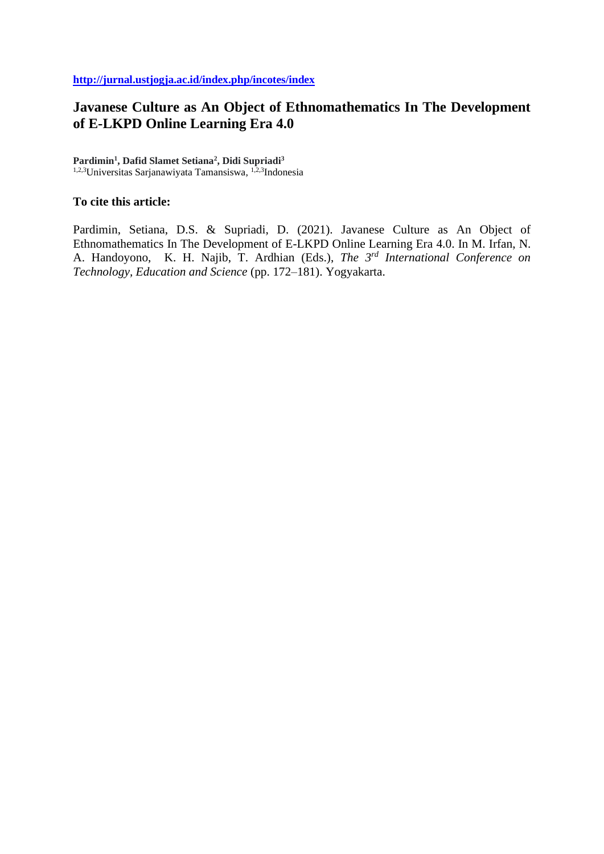# **Javanese Culture as An Object of Ethnomathematics In The Development of E-LKPD Online Learning Era 4.0**

**Pardimin<sup>1</sup> , Dafid Slamet Setiana<sup>2</sup> , Didi Supriadi<sup>3</sup>** 1,2,3Universitas Sarjanawiyata Tamansiswa, 1,2,3Indonesia

### **To cite this article:**

Pardimin, Setiana, D.S. & Supriadi, D. (2021). Javanese Culture as An Object of Ethnomathematics In The Development of E-LKPD Online Learning Era 4.0. In M. Irfan, N. A. Handoyono, K. H. Najib, T. Ardhian (Eds.), *The 3rd International Conference on Technology, Education and Science* (pp. 172–181). Yogyakarta.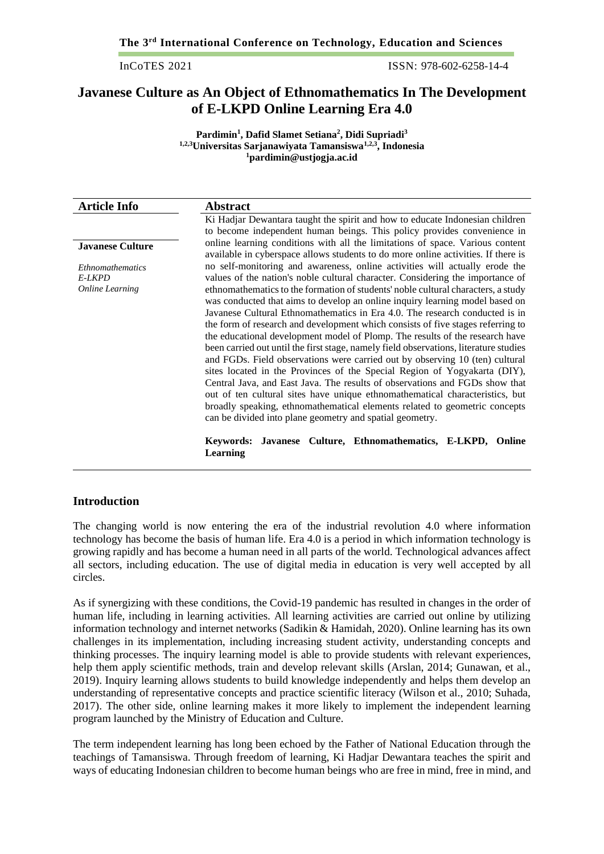ISSN: 978-602-6258-14-4

# **Javanese Culture as An Object of Ethnomathematics In The Development of E-LKPD Online Learning Era 4.0**

**Pardimin<sup>1</sup> , Dafid Slamet Setiana<sup>2</sup> , Didi Supriadi<sup>3</sup> 1,2,3Universitas Sarjanawiyata Tamansiswa1,2,3 , Indonesia <sup>1</sup>[pardimin@ustjogja.ac.id](mailto:dafid.setiana@ustjogja.ac.id)**

| <b>Article Info</b>     | <b>Abstract</b>                                                                                                                                                                                                                                                                                                                                                                                                                                                                                                                                                                                                                                                                                                                |  |  |
|-------------------------|--------------------------------------------------------------------------------------------------------------------------------------------------------------------------------------------------------------------------------------------------------------------------------------------------------------------------------------------------------------------------------------------------------------------------------------------------------------------------------------------------------------------------------------------------------------------------------------------------------------------------------------------------------------------------------------------------------------------------------|--|--|
|                         | Ki Hadjar Dewantara taught the spirit and how to educate Indonesian children                                                                                                                                                                                                                                                                                                                                                                                                                                                                                                                                                                                                                                                   |  |  |
|                         | to become independent human beings. This policy provides convenience in                                                                                                                                                                                                                                                                                                                                                                                                                                                                                                                                                                                                                                                        |  |  |
| <b>Javanese Culture</b> | online learning conditions with all the limitations of space. Various content<br>available in cyberspace allows students to do more online activities. If there is                                                                                                                                                                                                                                                                                                                                                                                                                                                                                                                                                             |  |  |
| Ethnomathematics        | no self-monitoring and awareness, online activities will actually erode the                                                                                                                                                                                                                                                                                                                                                                                                                                                                                                                                                                                                                                                    |  |  |
| E-LKPD                  | values of the nation's noble cultural character. Considering the importance of                                                                                                                                                                                                                                                                                                                                                                                                                                                                                                                                                                                                                                                 |  |  |
| <b>Online Learning</b>  | ethnomathematics to the formation of students' noble cultural characters, a study<br>was conducted that aims to develop an online inquiry learning model based on<br>Javanese Cultural Ethnomathematics in Era 4.0. The research conducted is in                                                                                                                                                                                                                                                                                                                                                                                                                                                                               |  |  |
|                         |                                                                                                                                                                                                                                                                                                                                                                                                                                                                                                                                                                                                                                                                                                                                |  |  |
|                         |                                                                                                                                                                                                                                                                                                                                                                                                                                                                                                                                                                                                                                                                                                                                |  |  |
|                         | the form of research and development which consists of five stages referring to<br>the educational development model of Plomp. The results of the research have<br>been carried out until the first stage, namely field observations, literature studies<br>and FGDs. Field observations were carried out by observing 10 (ten) cultural<br>sites located in the Provinces of the Special Region of Yogyakarta (DIY),<br>Central Java, and East Java. The results of observations and FGDs show that<br>out of ten cultural sites have unique ethnomathematical characteristics, but<br>broadly speaking, ethnomathematical elements related to geometric concepts<br>can be divided into plane geometry and spatial geometry. |  |  |
|                         |                                                                                                                                                                                                                                                                                                                                                                                                                                                                                                                                                                                                                                                                                                                                |  |  |
|                         |                                                                                                                                                                                                                                                                                                                                                                                                                                                                                                                                                                                                                                                                                                                                |  |  |
|                         |                                                                                                                                                                                                                                                                                                                                                                                                                                                                                                                                                                                                                                                                                                                                |  |  |
|                         |                                                                                                                                                                                                                                                                                                                                                                                                                                                                                                                                                                                                                                                                                                                                |  |  |
|                         |                                                                                                                                                                                                                                                                                                                                                                                                                                                                                                                                                                                                                                                                                                                                |  |  |
|                         |                                                                                                                                                                                                                                                                                                                                                                                                                                                                                                                                                                                                                                                                                                                                |  |  |
|                         |                                                                                                                                                                                                                                                                                                                                                                                                                                                                                                                                                                                                                                                                                                                                |  |  |
|                         |                                                                                                                                                                                                                                                                                                                                                                                                                                                                                                                                                                                                                                                                                                                                |  |  |
|                         |                                                                                                                                                                                                                                                                                                                                                                                                                                                                                                                                                                                                                                                                                                                                |  |  |
|                         | Culture, Ethnomathematics, E-LKPD,<br><b>Javanese</b><br>Online<br>Keywords:<br>Learning                                                                                                                                                                                                                                                                                                                                                                                                                                                                                                                                                                                                                                       |  |  |

### **Introduction**

The changing world is now entering the era of the industrial revolution 4.0 where information technology has become the basis of human life. Era 4.0 is a period in which information technology is growing rapidly and has become a human need in all parts of the world. Technological advances affect all sectors, including education. The use of digital media in education is very well accepted by all circles.

As if synergizing with these conditions, the Covid-19 pandemic has resulted in changes in the order of human life, including in learning activities. All learning activities are carried out online by utilizing information technology and internet networks (Sadikin & Hamidah, 2020). Online learning has its own challenges in its implementation, including increasing student activity, understanding concepts and thinking processes. The inquiry learning model is able to provide students with relevant experiences, help them apply scientific methods, train and develop relevant skills (Arslan, 2014; Gunawan, et al., 2019). Inquiry learning allows students to build knowledge independently and helps them develop an understanding of representative concepts and practice scientific literacy (Wilson et al., 2010; Suhada, 2017). The other side, online learning makes it more likely to implement the independent learning program launched by the Ministry of Education and Culture.

The term independent learning has long been echoed by the Father of National Education through the teachings of Tamansiswa. Through freedom of learning, Ki Hadjar Dewantara teaches the spirit and ways of educating Indonesian children to become human beings who are free in mind, free in mind, and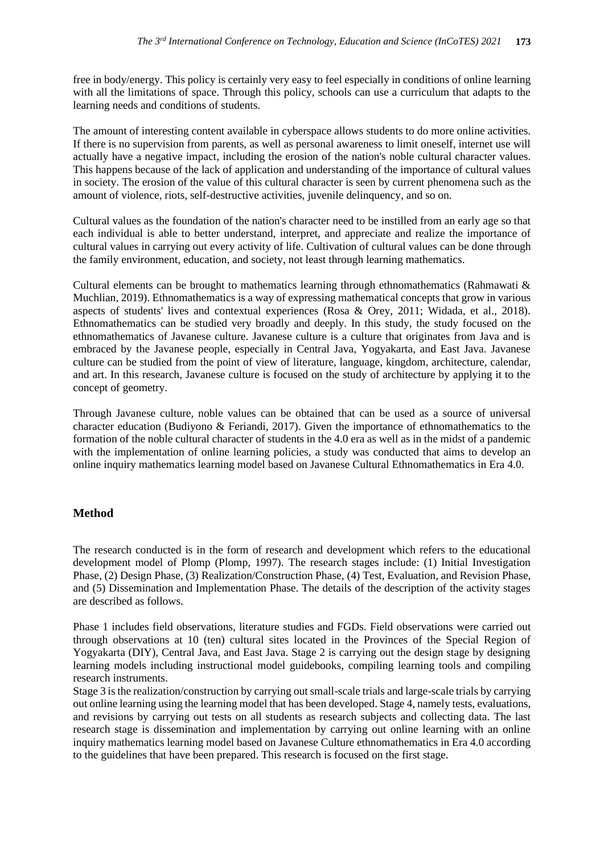free in body/energy. This policy is certainly very easy to feel especially in conditions of online learning with all the limitations of space. Through this policy, schools can use a curriculum that adapts to the learning needs and conditions of students.

The amount of interesting content available in cyberspace allows students to do more online activities. If there is no supervision from parents, as well as personal awareness to limit oneself, internet use will actually have a negative impact, including the erosion of the nation's noble cultural character values. This happens because of the lack of application and understanding of the importance of cultural values in society. The erosion of the value of this cultural character is seen by current phenomena such as the amount of violence, riots, self-destructive activities, juvenile delinquency, and so on.

Cultural values as the foundation of the nation's character need to be instilled from an early age so that each individual is able to better understand, interpret, and appreciate and realize the importance of cultural values in carrying out every activity of life. Cultivation of cultural values can be done through the family environment, education, and society, not least through learning mathematics.

Cultural elements can be brought to mathematics learning through ethnomathematics (Rahmawati  $\&$ Muchlian, 2019). Ethnomathematics is a way of expressing mathematical concepts that grow in various aspects of students' lives and contextual experiences (Rosa & Orey, 2011; Widada, et al., 2018). Ethnomathematics can be studied very broadly and deeply. In this study, the study focused on the ethnomathematics of Javanese culture. Javanese culture is a culture that originates from Java and is embraced by the Javanese people, especially in Central Java, Yogyakarta, and East Java. Javanese culture can be studied from the point of view of literature, language, kingdom, architecture, calendar, and art. In this research, Javanese culture is focused on the study of architecture by applying it to the concept of geometry.

Through Javanese culture, noble values can be obtained that can be used as a source of universal character education (Budiyono & Feriandi, 2017). Given the importance of ethnomathematics to the formation of the noble cultural character of students in the 4.0 era as well as in the midst of a pandemic with the implementation of online learning policies, a study was conducted that aims to develop an online inquiry mathematics learning model based on Javanese Cultural Ethnomathematics in Era 4.0.

# **Method**

The research conducted is in the form of research and development which refers to the educational development model of Plomp (Plomp, 1997). The research stages include: (1) Initial Investigation Phase, (2) Design Phase, (3) Realization/Construction Phase, (4) Test, Evaluation, and Revision Phase, and (5) Dissemination and Implementation Phase. The details of the description of the activity stages are described as follows.

Phase 1 includes field observations, literature studies and FGDs. Field observations were carried out through observations at 10 (ten) cultural sites located in the Provinces of the Special Region of Yogyakarta (DIY), Central Java, and East Java. Stage 2 is carrying out the design stage by designing learning models including instructional model guidebooks, compiling learning tools and compiling research instruments.

Stage 3 is the realization/construction by carrying out small-scale trials and large-scale trials by carrying out online learning using the learning model that has been developed. Stage 4, namely tests, evaluations, and revisions by carrying out tests on all students as research subjects and collecting data. The last research stage is dissemination and implementation by carrying out online learning with an online inquiry mathematics learning model based on Javanese Culture ethnomathematics in Era 4.0 according to the guidelines that have been prepared. This research is focused on the first stage.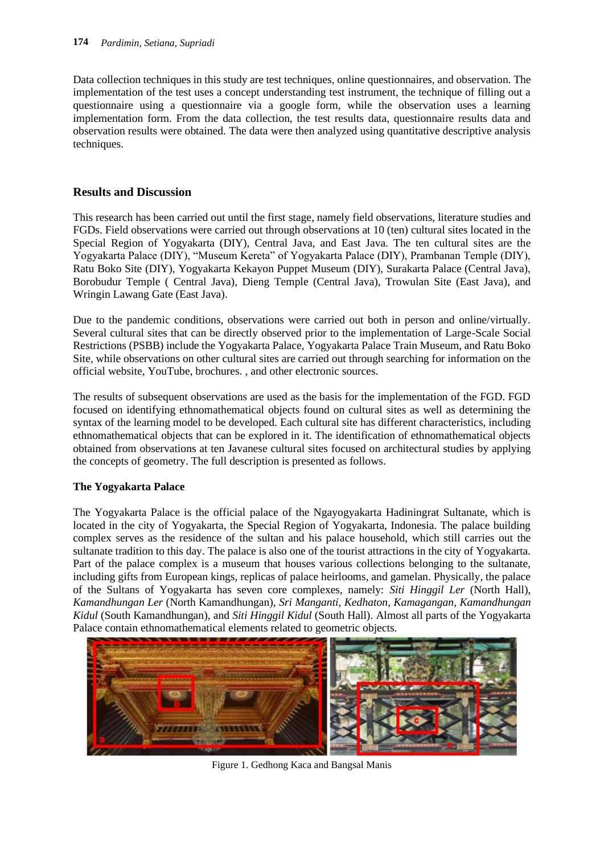Data collection techniques in this study are test techniques, online questionnaires, and observation. The implementation of the test uses a concept understanding test instrument, the technique of filling out a questionnaire using a questionnaire via a google form, while the observation uses a learning implementation form. From the data collection, the test results data, questionnaire results data and observation results were obtained. The data were then analyzed using quantitative descriptive analysis techniques.

# **Results and Discussion**

This research has been carried out until the first stage, namely field observations, literature studies and FGDs. Field observations were carried out through observations at 10 (ten) cultural sites located in the Special Region of Yogyakarta (DIY), Central Java, and East Java. The ten cultural sites are the Yogyakarta Palace (DIY), "Museum Kereta" of Yogyakarta Palace (DIY), Prambanan Temple (DIY), Ratu Boko Site (DIY), Yogyakarta Kekayon Puppet Museum (DIY), Surakarta Palace (Central Java), Borobudur Temple ( Central Java), Dieng Temple (Central Java), Trowulan Site (East Java), and Wringin Lawang Gate (East Java).

Due to the pandemic conditions, observations were carried out both in person and online/virtually. Several cultural sites that can be directly observed prior to the implementation of Large-Scale Social Restrictions (PSBB) include the Yogyakarta Palace, Yogyakarta Palace Train Museum, and Ratu Boko Site, while observations on other cultural sites are carried out through searching for information on the official website, YouTube, brochures. , and other electronic sources.

The results of subsequent observations are used as the basis for the implementation of the FGD. FGD focused on identifying ethnomathematical objects found on cultural sites as well as determining the syntax of the learning model to be developed. Each cultural site has different characteristics, including ethnomathematical objects that can be explored in it. The identification of ethnomathematical objects obtained from observations at ten Javanese cultural sites focused on architectural studies by applying the concepts of geometry. The full description is presented as follows.

# **The Yogyakarta Palace**

The Yogyakarta Palace is the official palace of the Ngayogyakarta Hadiningrat Sultanate, which is located in the city of Yogyakarta, the Special Region of Yogyakarta, Indonesia. The palace building complex serves as the residence of the sultan and his palace household, which still carries out the sultanate tradition to this day. The palace is also one of the tourist attractions in the city of Yogyakarta. Part of the palace complex is a museum that houses various collections belonging to the sultanate, including gifts from European kings, replicas of palace heirlooms, and gamelan. Physically, the palace of the Sultans of Yogyakarta has seven core complexes, namely: *Siti Hinggil Ler* (North Hall), *Kamandhungan Ler* (North Kamandhungan), *Sri Manganti, Kedhaton, Kamagangan, Kamandhungan Kidul* (South Kamandhungan), and *Siti Hinggil Kidul* (South Hall). Almost all parts of the Yogyakarta Palace contain ethnomathematical elements related to geometric objects.



Figure 1. Gedhong Kaca and Bangsal Manis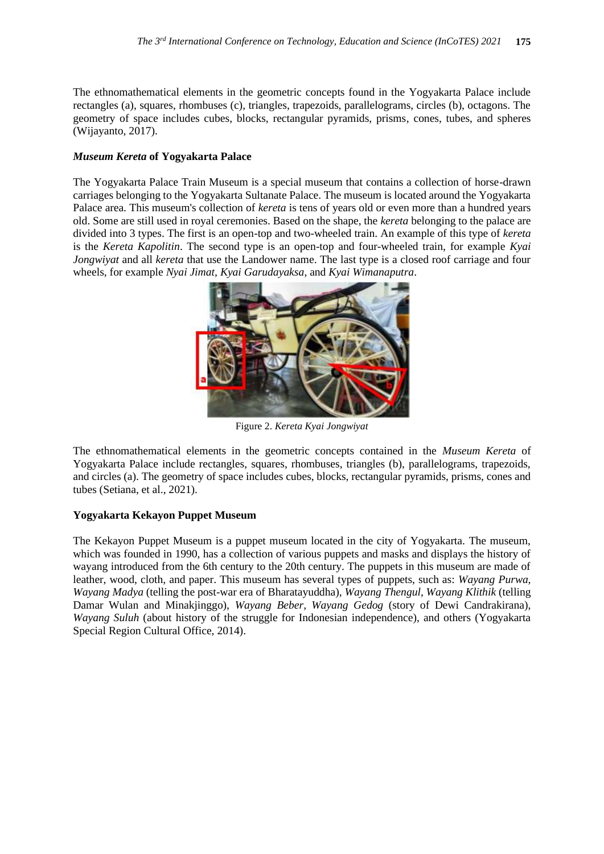The ethnomathematical elements in the geometric concepts found in the Yogyakarta Palace include rectangles (a), squares, rhombuses (c), triangles, trapezoids, parallelograms, circles (b), octagons. The geometry of space includes cubes, blocks, rectangular pyramids, prisms, cones, tubes, and spheres (Wijayanto, 2017).

### *Museum Kereta* **of Yogyakarta Palace**

The Yogyakarta Palace Train Museum is a special museum that contains a collection of horse-drawn carriages belonging to the Yogyakarta Sultanate Palace. The museum is located around the Yogyakarta Palace area. This museum's collection of *kereta* is tens of years old or even more than a hundred years old. Some are still used in royal ceremonies. Based on the shape, the *kereta* belonging to the palace are divided into 3 types. The first is an open-top and two-wheeled train. An example of this type of *kereta* is the *Kereta Kapolitin*. The second type is an open-top and four-wheeled train, for example *Kyai Jongwiyat* and all *kereta* that use the Landower name. The last type is a closed roof carriage and four wheels, for example *Nyai Jimat, Kyai Garudayaksa*, and *Kyai Wimanaputra*.



Figure 2. *Kereta Kyai Jongwiyat*

The ethnomathematical elements in the geometric concepts contained in the *Museum Kereta* of Yogyakarta Palace include rectangles, squares, rhombuses, triangles (b), parallelograms, trapezoids, and circles (a). The geometry of space includes cubes, blocks, rectangular pyramids, prisms, cones and tubes (Setiana, et al., 2021).

# **Yogyakarta Kekayon Puppet Museum**

The Kekayon Puppet Museum is a puppet museum located in the city of Yogyakarta. The museum, which was founded in 1990, has a collection of various puppets and masks and displays the history of wayang introduced from the 6th century to the 20th century. The puppets in this museum are made of leather, wood, cloth, and paper. This museum has several types of puppets, such as: *Wayang Purwa, Wayang Madya* (telling the post-war era of Bharatayuddha), *Wayang Thengul, Wayang Klithik* (telling Damar Wulan and Minakjinggo), *Wayang Beber, Wayang Gedog* (story of Dewi Candrakirana), *Wayang Suluh* (about history of the struggle for Indonesian independence), and others (Yogyakarta Special Region Cultural Office, 2014).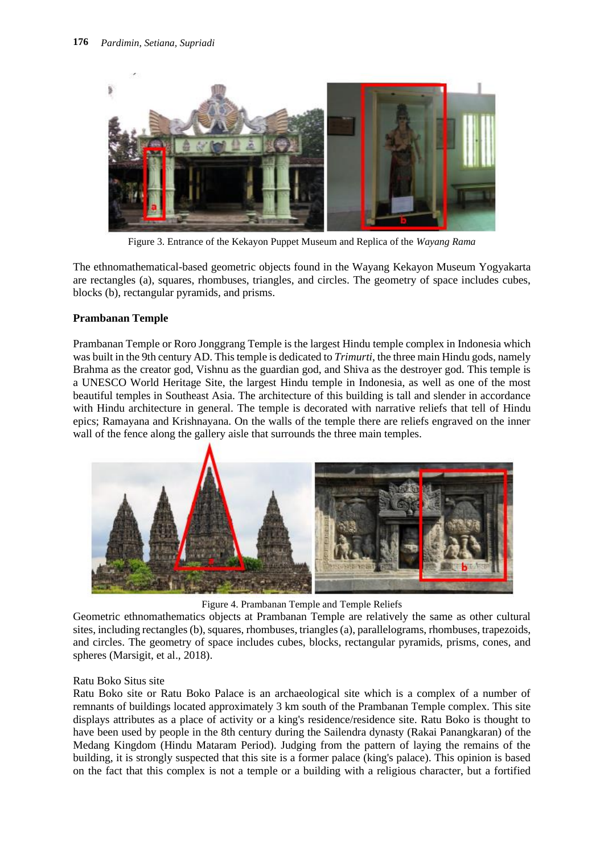

Figure 3. Entrance of the Kekayon Puppet Museum and Replica of the *Wayang Rama*

The ethnomathematical-based geometric objects found in the Wayang Kekayon Museum Yogyakarta are rectangles (a), squares, rhombuses, triangles, and circles. The geometry of space includes cubes, blocks (b), rectangular pyramids, and prisms.

### **Prambanan Temple**

Prambanan Temple or Roro Jonggrang Temple is the largest Hindu temple complex in Indonesia which was built in the 9th century AD. This temple is dedicated to *Trimurti*, the three main Hindu gods, namely Brahma as the creator god, Vishnu as the guardian god, and Shiva as the destroyer god. This temple is a UNESCO World Heritage Site, the largest Hindu temple in Indonesia, as well as one of the most beautiful temples in Southeast Asia. The architecture of this building is tall and slender in accordance with Hindu architecture in general. The temple is decorated with narrative reliefs that tell of Hindu epics; Ramayana and Krishnayana. On the walls of the temple there are reliefs engraved on the inner wall of the fence along the gallery aisle that surrounds the three main temples.



Figure 4. Prambanan Temple and Temple Reliefs

Geometric ethnomathematics objects at Prambanan Temple are relatively the same as other cultural sites, including rectangles (b), squares, rhombuses, triangles (a), parallelograms, rhombuses, trapezoids, and circles. The geometry of space includes cubes, blocks, rectangular pyramids, prisms, cones, and spheres (Marsigit, et al., 2018).

### Ratu Boko Situs site

Ratu Boko site or Ratu Boko Palace is an archaeological site which is a complex of a number of remnants of buildings located approximately 3 km south of the Prambanan Temple complex. This site displays attributes as a place of activity or a king's residence/residence site. Ratu Boko is thought to have been used by people in the 8th century during the Sailendra dynasty (Rakai Panangkaran) of the Medang Kingdom (Hindu Mataram Period). Judging from the pattern of laying the remains of the building, it is strongly suspected that this site is a former palace (king's palace). This opinion is based on the fact that this complex is not a temple or a building with a religious character, but a fortified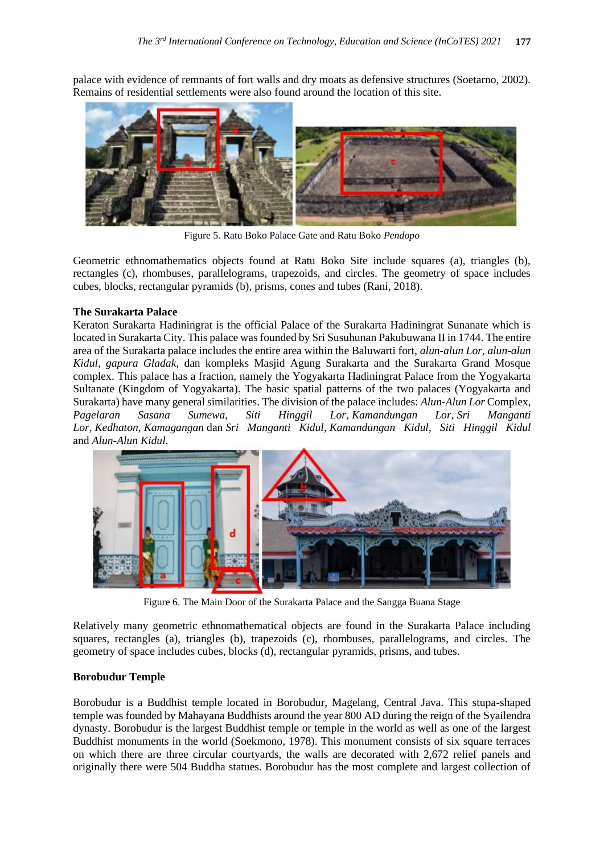palace with evidence of remnants of fort walls and dry moats as defensive structures (Soetarno, 2002). Remains of residential settlements were also found around the location of this site.



Figure 5. Ratu Boko Palace Gate and Ratu Boko *Pendopo*

Geometric ethnomathematics objects found at Ratu Boko Site include squares (a), triangles (b), rectangles (c), rhombuses, parallelograms, trapezoids, and circles. The geometry of space includes cubes, blocks, rectangular pyramids (b), prisms, cones and tubes (Rani, 2018).

#### **The Surakarta Palace**

Keraton Surakarta Hadiningrat is the official Palace of the Surakarta Hadiningrat Sunanate which is located in Surakarta City. This palace was founded by Sri Susuhunan Pakubuwana II in 1744. The entire area of the Surakarta palace includes the entire area within the Baluwarti fort, *alun-alun Lor, alun-alun Kidul, gapura Gladak*, dan kompleks Masjid Agung Surakarta and the Surakarta Grand Mosque complex. This palace has a fraction, namely the Yogyakarta Hadiningrat Palace from the Yogyakarta Sultanate (Kingdom of Yogyakarta). The basic spatial patterns of the two palaces (Yogyakarta and Surakarta) have many general similarities. The division of the palace includes: *Alun-Alun Lor* Complex, *Pagelaran Sasana Sumewa*, *Siti Hinggil Lor*, *Kamandungan Lor*, *Sri Manganti Lor*, *Kedhaton*, *Kamagangan* dan *Sri Manganti Kidul*, *Kamandungan Kidul*, *Siti Hinggil Kidul* and *Alun-Alun Kidul*.



Figure 6. The Main Door of the Surakarta Palace and the Sangga Buana Stage

Relatively many geometric ethnomathematical objects are found in the Surakarta Palace including squares, rectangles (a), triangles (b), trapezoids (c), rhombuses, parallelograms, and circles. The geometry of space includes cubes, blocks (d), rectangular pyramids, prisms, and tubes.

### **Borobudur Temple**

Borobudur is a Buddhist temple located in Borobudur, Magelang, Central Java. This stupa-shaped temple was founded by Mahayana Buddhists around the year 800 AD during the reign of the Syailendra dynasty. Borobudur is the largest Buddhist temple or temple in the world as well as one of the largest Buddhist monuments in the world (Soekmono, 1978). This monument consists of six square terraces on which there are three circular courtyards, the walls are decorated with 2,672 relief panels and originally there were 504 Buddha statues. Borobudur has the most complete and largest collection of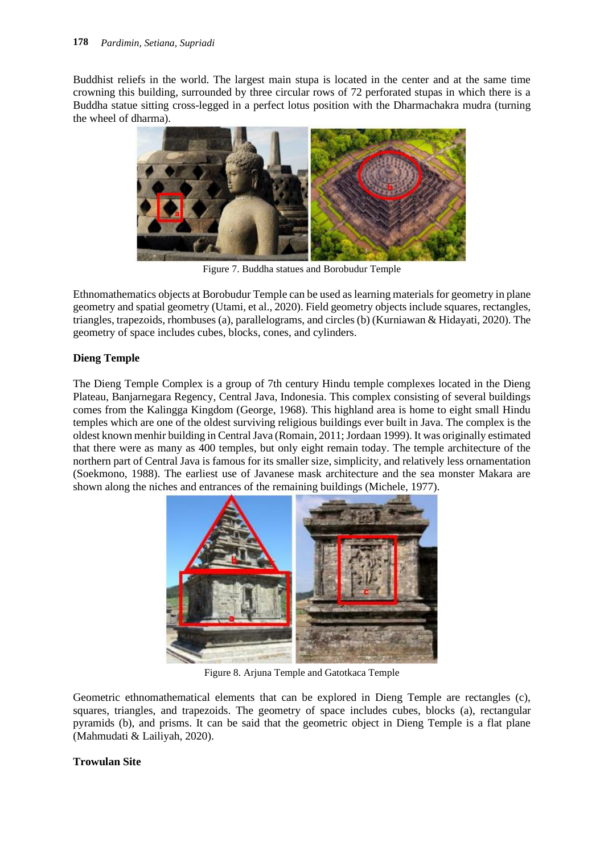Buddhist reliefs in the world. The largest main stupa is located in the center and at the same time crowning this building, surrounded by three circular rows of 72 perforated stupas in which there is a Buddha statue sitting cross-legged in a perfect lotus position with the Dharmachakra mudra (turning the wheel of dharma).



Figure 7. Buddha statues and Borobudur Temple

Ethnomathematics objects at Borobudur Temple can be used as learning materials for geometry in plane geometry and spatial geometry (Utami, et al., 2020). Field geometry objects include squares, rectangles, triangles, trapezoids, rhombuses (a), parallelograms, and circles (b) (Kurniawan & Hidayati, 2020). The geometry of space includes cubes, blocks, cones, and cylinders.

# **Dieng Temple**

The Dieng Temple Complex is a group of 7th century Hindu temple complexes located in the Dieng Plateau, Banjarnegara Regency, Central Java, Indonesia. This complex consisting of several buildings comes from the Kalingga Kingdom (George, 1968). This highland area is home to eight small Hindu temples which are one of the oldest surviving religious buildings ever built in Java. The complex is the oldest known menhir building in Central Java (Romain, 2011; Jordaan 1999). It was originally estimated that there were as many as 400 temples, but only eight remain today. The temple architecture of the northern part of Central Java is famous for its smaller size, simplicity, and relatively less ornamentation (Soekmono, 1988). The earliest use of Javanese mask architecture and the sea monster Makara are shown along the niches and entrances of the remaining buildings (Michele, 1977).



Figure 8. Arjuna Temple and Gatotkaca Temple

Geometric ethnomathematical elements that can be explored in Dieng Temple are rectangles (c), squares, triangles, and trapezoids. The geometry of space includes cubes, blocks (a), rectangular pyramids (b), and prisms. It can be said that the geometric object in Dieng Temple is a flat plane (Mahmudati & Lailiyah, 2020).

# **Trowulan Site**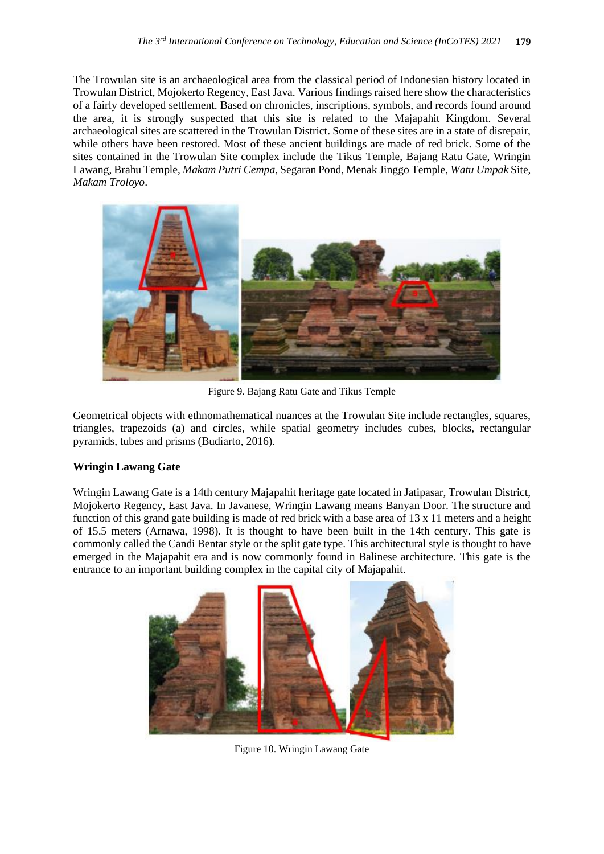The Trowulan site is an archaeological area from the classical period of Indonesian history located in Trowulan District, Mojokerto Regency, East Java. Various findings raised here show the characteristics of a fairly developed settlement. Based on chronicles, inscriptions, symbols, and records found around the area, it is strongly suspected that this site is related to the Majapahit Kingdom. Several archaeological sites are scattered in the Trowulan District. Some of these sites are in a state of disrepair, while others have been restored. Most of these ancient buildings are made of red brick. Some of the sites contained in the Trowulan Site complex include the Tikus Temple, Bajang Ratu Gate, Wringin Lawang, Brahu Temple, *Makam Putri Cempa*, Segaran Pond, Menak Jinggo Temple, *Watu Umpak* Site, *Makam Troloyo*.



Figure 9. Bajang Ratu Gate and Tikus Temple

Geometrical objects with ethnomathematical nuances at the Trowulan Site include rectangles, squares, triangles, trapezoids (a) and circles, while spatial geometry includes cubes, blocks, rectangular pyramids, tubes and prisms (Budiarto, 2016).

### **Wringin Lawang Gate**

Wringin Lawang Gate is a 14th century Majapahit heritage gate located in Jatipasar, Trowulan District, Mojokerto Regency, East Java. In Javanese, Wringin Lawang means Banyan Door. The structure and function of this grand gate building is made of red brick with a base area of 13 x 11 meters and a height of 15.5 meters (Arnawa, 1998). It is thought to have been built in the 14th century. This gate is commonly called the Candi Bentar style or the split gate type. This architectural style is thought to have emerged in the Majapahit era and is now commonly found in Balinese architecture. This gate is the entrance to an important building complex in the capital city of Majapahit.



Figure 10. Wringin Lawang Gate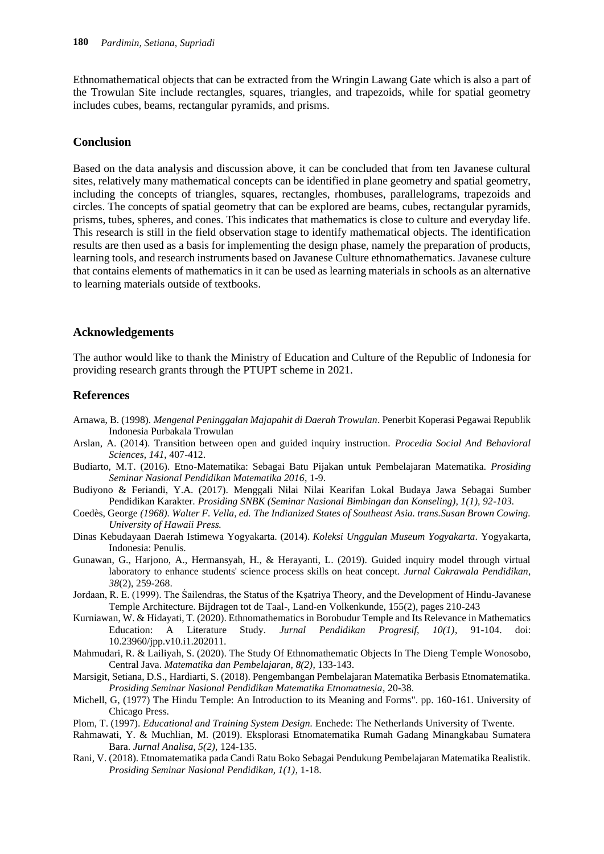Ethnomathematical objects that can be extracted from the Wringin Lawang Gate which is also a part of the Trowulan Site include rectangles, squares, triangles, and trapezoids, while for spatial geometry includes cubes, beams, rectangular pyramids, and prisms.

#### **Conclusion**

Based on the data analysis and discussion above, it can be concluded that from ten Javanese cultural sites, relatively many mathematical concepts can be identified in plane geometry and spatial geometry, including the concepts of triangles, squares, rectangles, rhombuses, parallelograms, trapezoids and circles. The concepts of spatial geometry that can be explored are beams, cubes, rectangular pyramids, prisms, tubes, spheres, and cones. This indicates that mathematics is close to culture and everyday life. This research is still in the field observation stage to identify mathematical objects. The identification results are then used as a basis for implementing the design phase, namely the preparation of products, learning tools, and research instruments based on Javanese Culture ethnomathematics. Javanese culture that contains elements of mathematics in it can be used as learning materials in schools as an alternative to learning materials outside of textbooks.

#### **Acknowledgements**

The author would like to thank the Ministry of Education and Culture of the Republic of Indonesia for providing research grants through the PTUPT scheme in 2021.

#### **References**

- Arnawa, B. (1998). *Mengenal Peninggalan Majapahit di Daerah Trowulan*. Penerbit Koperasi Pegawai Republik Indonesia Purbakala Trowulan
- Arslan, A. (2014). Transition between open and guided inquiry instruction. *Procedia Social And Behavioral Sciences*, *141*, 407-412.
- Budiarto, M.T. (2016). Etno-Matematika: Sebagai Batu Pijakan untuk Pembelajaran Matematika. *Prosiding Seminar Nasional Pendidikan Matematika 2016*, 1-9.
- Budiyono & Feriandi, Y.A. (2017). Menggali Nilai Nilai Kearifan Lokal Budaya Jawa Sebagai Sumber Pendidikan Karakter. *Prosiding SNBK (Seminar Nasional Bimbingan dan Konseling), 1(1), 92-103.*
- Coedès, George *(1968). Walter F. Vella, ed. The Indianized States of Southeast Asia. trans.Susan Brown Cowing. University of Hawaii Press.*
- Dinas Kebudayaan Daerah Istimewa Yogyakarta. (2014). *Koleksi Unggulan Museum Yogyakarta*. Yogyakarta, Indonesia: Penulis.
- Gunawan, G., Harjono, A., Hermansyah, H., & Herayanti, L. (2019). Guided inquiry model through virtual laboratory to enhance students' science process skills on heat concept. *Jurnal Cakrawala Pendidikan*, *38*(2), 259-268.
- Jordaan, R. E. (1999). The Śailendras, the Status of the Ksatriya Theory, and the Development of Hindu-Javanese Temple Architecture. Bijdragen tot de Taal-, Land-en Volkenkunde, 155(2), pages 210-243
- Kurniawan, W. & Hidayati, T. (2020). Ethnomathematics in Borobudur Temple and Its Relevance in Mathematics Education: A Literature Study. *Jurnal Pendidikan Progresif, 10(1)*, 91-104. doi: 10.23960/jpp.v10.i1.202011.
- Mahmudari, R. & Lailiyah, S. (2020). The Study Of Ethnomathematic Objects In The Dieng Temple Wonosobo, Central Java. *Matematika dan Pembelajaran, 8(2)*, 133-143.
- Marsigit, Setiana, D.S., Hardiarti, S. (2018). Pengembangan Pembelajaran Matematika Berbasis Etnomatematika. *Prosiding Seminar Nasional Pendidikan Matematika Etnomatnesia*, 20-38.
- Michell, G, (1977) The Hindu Temple: An Introduction to its Meaning and Forms". pp. 160-161. University of Chicago Press.
- Plom, T. (1997). *Educational and Training System Design.* Enchede: The Netherlands University of Twente.
- Rahmawati, Y. & Muchlian, M. (2019). Eksplorasi Etnomatematika Rumah Gadang Minangkabau Sumatera Bara. *Jurnal Analisa, 5(2)*, 124-135.
- Rani, V. (2018). Etnomatematika pada Candi Ratu Boko Sebagai Pendukung Pembelajaran Matematika Realistik. *Prosiding Seminar Nasional Pendidikan, 1(1)*, 1-18.